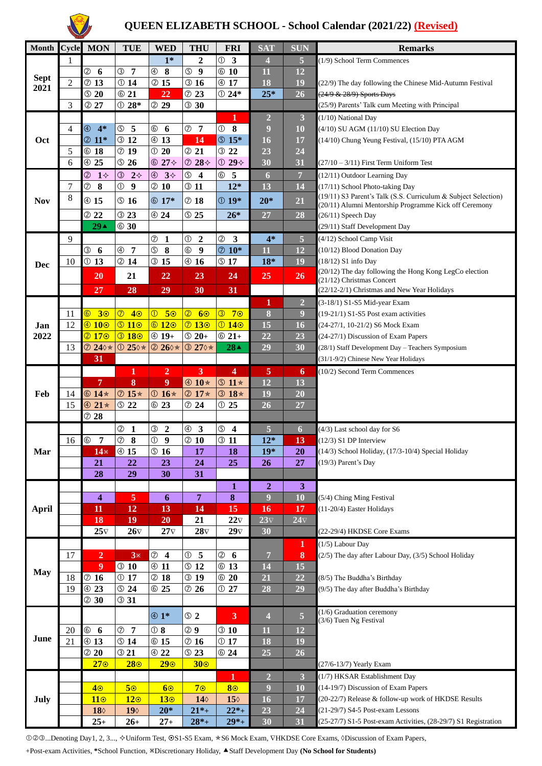

## **QUEEN ELIZABETH SCHOOL - School Calendar (2021/22) (Revised)**

| <b>Month</b> | Cycle          | <b>MON</b>                              | TUE                             | <b>WED</b>                              | <b>THU</b>                         | <b>FRI</b>                             | <b>SAT</b>              | <b>SUN</b>      | <b>Remarks</b>                                                                      |
|--------------|----------------|-----------------------------------------|---------------------------------|-----------------------------------------|------------------------------------|----------------------------------------|-------------------------|-----------------|-------------------------------------------------------------------------------------|
|              | 1              |                                         |                                 | $1*$                                    | $\boldsymbol{2}$                   | $\circled{0}$<br>$\mathbf{3}$          | 4                       | 5               | (1/9) School Term Commences                                                         |
|              |                | $^{\circledR}$<br>6                     | 3 7                             | $^{\circledR}$<br>8                     | $\circledS$<br>$\boldsymbol{9}$    | @10                                    | 11                      | 12              |                                                                                     |
| <b>Sept</b>  | $\overline{2}$ | @13                                     | @14                             | 2 15                                    | @16                                | @17                                    | 18                      | 19              | (22/9) The day following the Chinese Mid-Autumn Festival                            |
| 2021         |                | $\circledcirc$ 20                       | @21                             | 22                                      | @23                                | $@24*$                                 | $25*$                   | 26              | (24/9 & 28/9) Sports Days                                                           |
|              | 3              | @27                                     | $@28*$                          | 29                                      | @30                                |                                        |                         |                 | (25/9) Parents' Talk cum Meeting with Principal                                     |
| Oct          |                |                                         |                                 |                                         |                                    | 1                                      | $\overline{2}$          | 3               | (1/10) National Day                                                                 |
|              | 4              | $\circled{4}$<br>$4*$                   | <b>5</b>                        | $^{\circledR}$<br>6                     | @7                                 | 8<br>$\circled{1}$                     | 9                       | 10              | (4/10) SU AGM (11/10) SU Election Day                                               |
|              |                | $@11*$                                  | @12                             | @13                                     | 14                                 | <b>5</b> 15*                           | 16                      | 17              | (14/10) Chung Yeung Festival, (15/10) PTA AGM                                       |
|              | 5              | @18                                     | @19                             | $\odot$ 20                              | @21                                | @22                                    | 23                      | 24              |                                                                                     |
|              | 6              | 4 25                                    | $\circ$ 26                      | $@27\Leftrightarrow$                    | $@28\Leftrightarrow$               | $@29\diamond$                          | 30                      | 31              | $(27/10 - 3/11)$ First Term Uniform Test                                            |
| <b>Nov</b>   |                | $\circledS$<br>$1\diamond$              | $\circled{3}$<br>$2^{\diamond}$ | $\circled{4}$<br>$3^{\diamond}$         | $\circledS$<br>$\boldsymbol{4}$    | $^{\circ}$<br>5                        | 6                       | $\overline{7}$  | (12/11) Outdoor Learning Day                                                        |
|              | $\tau$         | $^\circledR$<br>8                       | $\circled{1}$<br>9              | @10                                     | @11                                | $12*$                                  | 13                      | 14              | (17/11) School Photo-taking Day                                                     |
|              | 8              | @15                                     | © 16                            | $@17*$                                  | @18                                | $@19*$                                 | $20*$                   | 21              | (19/11) S3 Parent's Talk (S.S. Curriculum & Subject Selection)                      |
|              |                |                                         |                                 |                                         |                                    |                                        |                         |                 | (20/11) Alumni Mentorship Programme Kick off Ceremony                               |
|              |                | @22                                     | @23                             | @24                                     | <b>525</b>                         | $26*$                                  | 27                      | 28              | (26/11) Speech Day                                                                  |
|              |                | 29 <sub>A</sub>                         | @30                             |                                         |                                    |                                        |                         |                 | (29/11) Staff Development Day                                                       |
|              | 9              |                                         |                                 | $^\circledR$<br>1                       | $\circledcirc$<br>$\boldsymbol{2}$ | $^{\circledR}$<br>3                    | $4*$                    | 5               | (4/12) School Camp Visit                                                            |
|              |                | ③<br>6                                  | $^{\circledR}$<br>7             | $\circledS$<br>8                        | $^{\circledR}$<br>$\boldsymbol{9}$ | $@10*$                                 | $\overline{11}$         | 12              | (10/12) Blood Donation Day                                                          |
| Dec          | 10             | @13                                     | @14                             | <b>315</b>                              | @16                                | $\circledcirc$ 17                      | $18*$                   | 19              | (18/12) S1 info Day                                                                 |
|              |                | <b>20</b>                               | 21                              | 22                                      | 23                                 | 24                                     | 25                      | 26              | (20/12) The day following the Hong Kong LegCo election<br>(21/12) Christmas Concert |
|              |                | 27                                      | 28                              | 29                                      | 30                                 | 31                                     |                         |                 | (22/12-2/1) Christmas and New Year Holidays                                         |
|              |                |                                         |                                 |                                         |                                    |                                        | 1                       | $\overline{2}$  | (3-18/1) S1-S5 Mid-year Exam                                                        |
|              | 11             | $\overline{6}$<br>30                    | $\circledcirc$<br>40            | $\overline{\mathbb{O}}$<br>50           | $\circledcirc$<br>60               | $\circled{3}$<br>70                    | $\boldsymbol{8}$        | 9               | (19-21/1) S1-S5 Post exam activities                                                |
| Jan<br>2022  | 12             | $\overline{\textcircled{\texttt{100}}}$ | $\boxed{0110}$                  | @12@                                    | $\overline{O}$ 13 $\overline{O}$   | $\overline{0140}$                      | 15                      | 16              | (24-27/1, 10-21/2) S6 Mock Exam                                                     |
|              |                | @17@                                    | @18 <sup>°</sup>                | $@19+$                                  | $\circledcirc$ 20+                 | $@21+$                                 | 22                      | 23              | (24-27/1) Discussion of Exam Papers                                                 |
|              | 13             | 240 *                                   | $\textcircled{1250}$ *          | 2 260 *                                 | 3 270 *                            | 28 <sub>A</sub>                        | 29                      | 30              | (28/1) Staff Development Day - Teachers Symposium                                   |
|              |                | 31                                      |                                 |                                         |                                    |                                        |                         |                 | (31/1-9/2) Chinese New Year Holidays                                                |
| Feb          |                |                                         | 1                               | $\overline{2}$                          | 3                                  | 4                                      | 5                       | 6               | (10/2) Second Term Commences                                                        |
|              |                | 7                                       | 8                               | 9                                       | $@10*$                             | $\textcircled{11*}$                    | 12                      | 13              |                                                                                     |
|              | 14             | $@14*$                                  | $@15*$                          | $\textcircled{16*}$                     | <b>② 17 *</b>                      | $@18*$                                 | 19                      | 20              |                                                                                     |
|              | 15             | $@21*$                                  | © 22                            | @23                                     | @24                                | @25                                    | 26                      | 27              |                                                                                     |
|              |                | @28                                     |                                 |                                         |                                    |                                        |                         |                 |                                                                                     |
|              |                |                                         | $^{\circledR}$<br>$\mathbf{1}$  | ③<br>$\overline{2}$                     | $\oplus$ 3                         | $\circledS$<br>$\overline{\mathbf{4}}$ | 5                       | 6               | (4/3) Last school day for S6                                                        |
|              | 16             | $^{\circ}$<br>$\overline{7}$            | $^\circledR$<br>8               | $\circledcirc$<br>$\boldsymbol{9}$      | @10                                | @11                                    | $12*$                   | 13              | (12/3) S1 DP Interview                                                              |
| Mar          |                | 14 <sup>×</sup>                         | @15                             | $\overline{\circ}$ 16                   | 17                                 | 18                                     | $19*$                   | 20 <sup>°</sup> | (14/3) School Holiday, (17/3-10/4) Special Holiday                                  |
|              |                | 21                                      | 22                              | 23                                      | 24                                 | 25                                     | 26                      | 27              | (19/3) Parent's Day                                                                 |
|              |                | 28                                      | 29                              | 30                                      | 31                                 |                                        |                         |                 |                                                                                     |
|              |                |                                         |                                 |                                         |                                    | $\mathbf{1}$                           | $\boldsymbol{2}$        | 3               |                                                                                     |
|              |                | 4                                       | $\overline{5}$                  | 6                                       | $\overline{7}$                     | $\bf{8}$                               | $\overline{9}$          | 10              | (5/4) Ching Ming Festival                                                           |
| <b>April</b> |                | 11                                      | 12                              | 13                                      | 14                                 | 15                                     | 16                      | 17              | (11-20/4) Easter Holidays                                                           |
|              |                | 18                                      | 19                              | 20                                      | 21                                 | $22\nabla$                             | $23\nabla$              | $24\nabla$      |                                                                                     |
|              |                | $25\nabla$                              | $26\nabla$                      | $27\nabla$                              | $28\nabla$                         | $29\nabla$                             | 30                      |                 | (22-29/4) HKDSE Core Exams                                                          |
| <b>May</b>   |                |                                         |                                 |                                         |                                    |                                        |                         | 1               | (1/5) Labour Day                                                                    |
|              | 17             | $\overline{2}$                          | $3*$                            | $^\circledR$<br>$\overline{\mathbf{4}}$ | $\circledcirc$<br>5                | $\circledS$<br>6                       | $\overline{7}$          | 8               | (2/5) The day after Labour Day, (3/5) School Holiday                                |
|              |                | 9                                       | @10                             | @11                                     | $\circ$ 12                         | @13                                    | 14                      | 15              |                                                                                     |
|              | 18             | @16                                     | @17                             | @18                                     | @19                                | @20                                    | 21                      | 22              | (8/5) The Buddha's Birthday                                                         |
|              | 19             | @23                                     | © 24                            | 6 25                                    | @26                                | @27                                    | 28                      | 29              | (9/5) The day after Buddha's Birthday                                               |
|              |                | @30                                     | @31                             |                                         |                                    |                                        |                         |                 |                                                                                     |
|              |                |                                         |                                 | $\overline{\circ}$ 1*                   | $\circledcirc$ 2                   | 3                                      | $\overline{\mathbf{4}}$ | $\overline{5}$  | (1/6) Graduation ceremony                                                           |
|              | 20             | $^{\circledR}$<br>6                     | $\oslash$ 7                     | $\textcircled{1}8$                      | <b>29</b>                          | @10                                    | 11                      | 12              | (3/6) Tuen Ng Festival                                                              |
| June         | 21             | @13                                     | © 14                            | <b>615</b>                              | $\oslash$ 16                       | @17                                    | 18                      | 19              |                                                                                     |
|              |                | @20                                     | @21                             | @22                                     | $\circledcirc$ 23                  | <b>624</b>                             | 25                      | 26              |                                                                                     |
|              |                | $27\circ$                               | 28 <sub>°</sub>                 | 29 <sub>°</sub>                         | 30 <sub>o</sub>                    |                                        |                         |                 | (27/6-13/7) Yearly Exam                                                             |
|              |                |                                         |                                 |                                         |                                    | 1                                      | $\overline{2}$          | 3               | (1/7) HKSAR Establishment Day                                                       |
| July         |                | 40                                      | 50                              | 60                                      | 70                                 | 8 <sup>°</sup>                         | 9                       | 10              | (14-19/7) Discussion of Exam Papers                                                 |
|              |                | 110                                     | 120                             | 13 <sub>°</sub>                         | 140                                | 15 <sub>0</sub>                        | 16                      | 17              | (20-22/7) Release & follow-up work of HKDSE Results                                 |
|              |                | 180                                     | 190                             | $20*$                                   | $21* +$                            | $22*$ +                                | 23                      | 24              | (21-29/7) S4-5 Post-exam Lessons                                                    |
|              |                | $25+$                                   | $26+$                           | $27 +$                                  | $28*$ +                            | $29*$ +                                | 30                      | 31              | (25-27/7) S1-5 Post-exam Activities, (28-29/7) S1 Registration                      |
|              |                |                                         |                                 |                                         |                                    |                                        |                         |                 |                                                                                     |

000...Denoting Day1, 2, 3...,  $\diamond$ Uniform Test, 0S1-S5 Exam,  $\star$ S6 Mock Exam, VHKDSE Core Exams, 0Discussion of Exam Papers,

+Post-exam Activities, \*School Function, \*Discretionary Holiday,  $\blacktriangle$  Staff Development Day **(No School for Students)**